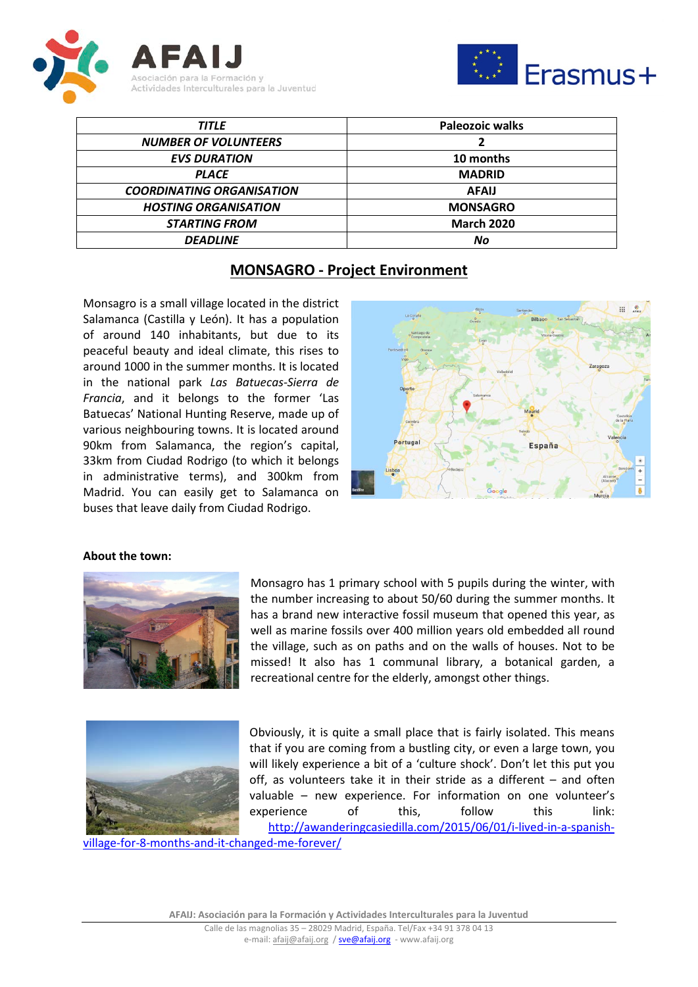



| <b>TITLE</b>                     | <b>Paleozoic walks</b> |
|----------------------------------|------------------------|
| <b>NUMBER OF VOLUNTEERS</b>      |                        |
| <b>EVS DURATION</b>              | 10 months              |
| <b>PLACE</b>                     | <b>MADRID</b>          |
| <b>COORDINATING ORGANISATION</b> | <b>AFAIJ</b>           |
| <b>HOSTING ORGANISATION</b>      | <b>MONSAGRO</b>        |
| <b>STARTING FROM</b>             | <b>March 2020</b>      |
| <b>DEADLINE</b>                  | No                     |

# **MONSAGRO - Project Environment**

Monsagro is a small village located in the district Salamanca (Castilla y León). It has a population of around 140 inhabitants, but due to its peaceful beauty and ideal climate, this rises to around 1000 in the summer months. It is located in the national park *Las Batuecas-Sierra de Francia*, and it belongs to the former 'Las Batuecas' National Hunting Reserve, made up of various neighbouring towns. It is located around 90km from Salamanca, the region's capital, 33km from Ciudad Rodrigo (to which it belongs in administrative terms), and 300km from Madrid. You can easily get to Salamanca on buses that leave daily from Ciudad Rodrigo.



#### **About the town:**



Monsagro has 1 primary school with 5 pupils during the winter, with the number increasing to about 50/60 during the summer months. It has a brand new interactive fossil museum that opened this year, as well as marine fossils over 400 million years old embedded all round the village, such as on paths and on the walls of houses. Not to be missed! It also has 1 communal library, a botanical garden, a recreational centre for the elderly, amongst other things.



Obviously, it is quite a small place that is fairly isolated. This means that if you are coming from a bustling city, or even a large town, you will likely experience a bit of a 'culture shock'. Don't let this put you off, as volunteers take it in their stride as a different – and often valuable – new experience. For information on one volunteer's experience of this, follow this link: [http://awanderingcasiedilla.com/2015/06/01/i-lived-in-a-spanish-](http://awanderingcasiedilla.com/2015/06/01/i-lived-in-a-spanish-village-for-8-months-and-it-changed-me-forever/)

[village-for-8-months-and-it-changed-me-forever/](http://awanderingcasiedilla.com/2015/06/01/i-lived-in-a-spanish-village-for-8-months-and-it-changed-me-forever/)